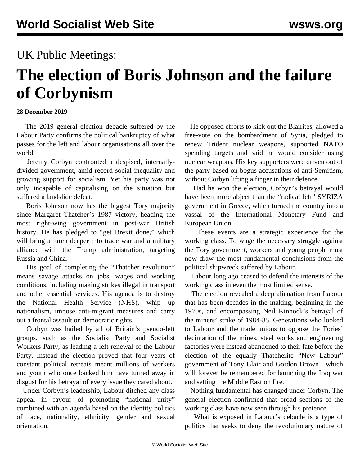# UK Public Meetings:

# **The election of Boris Johnson and the failure of Corbynism**

#### **28 December 2019**

 The 2019 general election debacle suffered by the Labour Party confirms the political bankruptcy of what passes for the left and labour organisations all over the world.

 Jeremy Corbyn confronted a despised, internallydivided government, amid record social inequality and growing support for socialism. Yet his party was not only incapable of capitalising on the situation but suffered a landslide defeat.

 Boris Johnson now has the biggest Tory majority since Margaret Thatcher's 1987 victory, heading the most right-wing government in post-war British history. He has pledged to "get Brexit done," which will bring a lurch deeper into trade war and a military alliance with the Trump administration, targeting Russia and China.

 His goal of completing the "Thatcher revolution" means savage attacks on jobs, wages and working conditions, including making strikes illegal in transport and other essential services. His agenda is to destroy the National Health Service (NHS), whip up nationalism, impose anti-migrant measures and carry out a frontal assault on democratic rights.

 Corbyn was hailed by all of Britain's pseudo-left groups, such as the Socialist Party and Socialist Workers Party, as leading a left renewal of the Labour Party. Instead the election proved that four years of constant political retreats meant millions of workers and youth who once backed him have turned away in disgust for his betrayal of every issue they cared about.

 Under Corbyn's leadership, Labour ditched any class appeal in favour of promoting "national unity" combined with an agenda based on the identity politics of race, nationality, ethnicity, gender and sexual orientation.

 He opposed efforts to kick out the Blairites, allowed a free-vote on the bombardment of Syria, pledged to renew Trident nuclear weapons, supported NATO spending targets and said he would consider using nuclear weapons. His key supporters were driven out of the party based on bogus accusations of anti-Semitism, without Corbyn lifting a finger in their defence.

 Had he won the election, Corbyn's betrayal would have been more abject than the "radical left" SYRIZA government in Greece, which turned the country into a vassal of the International Monetary Fund and European Union.

 These events are a strategic experience for the working class. To wage the necessary struggle against the Tory government, workers and young people must now draw the most fundamental conclusions from the political shipwreck suffered by Labour.

 Labour long ago ceased to defend the interests of the working class in even the most limited sense.

 The election revealed a deep alienation from Labour that has been decades in the making, beginning in the 1970s, and encompassing Neil Kinnock's betrayal of the miners' strike of 1984-85. Generations who looked to Labour and the trade unions to oppose the Tories' decimation of the mines, steel works and engineering factories were instead abandoned to their fate before the election of the equally Thatcherite "New Labour" government of Tony Blair and Gordon Brown—which will forever be remembered for launching the Iraq war and setting the Middle East on fire.

 Nothing fundamental has changed under Corbyn. The general election confirmed that broad sections of the working class have now seen through his pretence.

 What is exposed in Labour's debacle is a type of politics that seeks to deny the revolutionary nature of